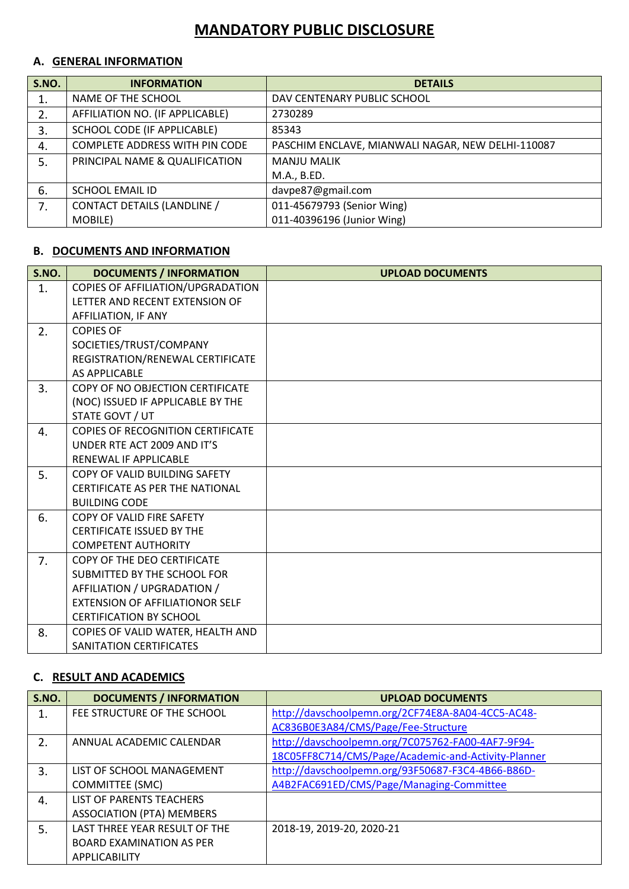# **MANDATORY PUBLIC DISCLOSURE**

### **A. GENERAL INFORMATION**

| S.NO. | <b>INFORMATION</b>              | <b>DETAILS</b>                                    |
|-------|---------------------------------|---------------------------------------------------|
|       | NAME OF THE SCHOOL              | DAV CENTENARY PUBLIC SCHOOL                       |
| 2.    | AFFILIATION NO. (IF APPLICABLE) | 2730289                                           |
| 3.    | SCHOOL CODE (IF APPLICABLE)     | 85343                                             |
| 4.    | COMPLETE ADDRESS WITH PIN CODE  | PASCHIM ENCLAVE, MIANWALI NAGAR, NEW DELHI-110087 |
| 5.    | PRINCIPAL NAME & QUALIFICATION  | <b>MANJU MALIK</b>                                |
|       |                                 | M.A., B.ED.                                       |
| 6.    | <b>SCHOOL EMAIL ID</b>          | davpe87@gmail.com                                 |
| 7.    | CONTACT DETAILS (LANDLINE /     | 011-45679793 (Senior Wing)                        |
|       | MOBILE)                         | 011-40396196 (Junior Wing)                        |

## **B. DOCUMENTS AND INFORMATION**

| <b>S.NO.</b> | <b>DOCUMENTS / INFORMATION</b>           | <b>UPLOAD DOCUMENTS</b> |
|--------------|------------------------------------------|-------------------------|
| 1.           | COPIES OF AFFILIATION/UPGRADATION        |                         |
|              | LETTER AND RECENT EXTENSION OF           |                         |
|              | AFFILIATION, IF ANY                      |                         |
| 2.           | <b>COPIES OF</b>                         |                         |
|              | SOCIETIES/TRUST/COMPANY                  |                         |
|              | REGISTRATION/RENEWAL CERTIFICATE         |                         |
|              | <b>AS APPLICABLE</b>                     |                         |
| 3.           | COPY OF NO OBJECTION CERTIFICATE         |                         |
|              | (NOC) ISSUED IF APPLICABLE BY THE        |                         |
|              | STATE GOVT / UT                          |                         |
| 4.           | <b>COPIES OF RECOGNITION CERTIFICATE</b> |                         |
|              | UNDER RTE ACT 2009 AND IT'S              |                         |
|              | RENEWAL IF APPLICABLE                    |                         |
| 5.           | COPY OF VALID BUILDING SAFETY            |                         |
|              | <b>CERTIFICATE AS PER THE NATIONAL</b>   |                         |
|              | <b>BUILDING CODE</b>                     |                         |
| 6.           | COPY OF VALID FIRE SAFETY                |                         |
|              | <b>CERTIFICATE ISSUED BY THE</b>         |                         |
|              | <b>COMPETENT AUTHORITY</b>               |                         |
| 7.           | COPY OF THE DEO CERTIFICATE              |                         |
|              | SUBMITTED BY THE SCHOOL FOR              |                         |
|              | AFFILIATION / UPGRADATION /              |                         |
|              | <b>EXTENSION OF AFFILIATIONOR SELF</b>   |                         |
|              | <b>CERTIFICATION BY SCHOOL</b>           |                         |
| 8.           | COPIES OF VALID WATER, HEALTH AND        |                         |
|              | SANITATION CERTIFICATES                  |                         |

#### **C. RESULT AND ACADEMICS**

| S.NO.            | <b>DOCUMENTS / INFORMATION</b>   | <b>UPLOAD DOCUMENTS</b>                             |
|------------------|----------------------------------|-----------------------------------------------------|
|                  | FEE STRUCTURE OF THE SCHOOL      | http://davschoolpemn.org/2CF74E8A-8A04-4CC5-AC48-   |
|                  |                                  | AC836B0E3A84/CMS/Page/Fee-Structure                 |
| $\overline{2}$ . | ANNUAL ACADEMIC CALENDAR         | http://davschoolpemn.org/7C075762-FA00-4AF7-9F94-   |
|                  |                                  | 18C05FF8C714/CMS/Page/Academic-and-Activity-Planner |
| 3.               | LIST OF SCHOOL MANAGEMENT        | http://davschoolpemn.org/93F50687-F3C4-4B66-B86D-   |
|                  | <b>COMMITTEE (SMC)</b>           | A4B2FAC691ED/CMS/Page/Managing-Committee            |
| 4.               | LIST OF PARENTS TEACHERS         |                                                     |
|                  | <b>ASSOCIATION (PTA) MEMBERS</b> |                                                     |
| 5.               | LAST THREE YEAR RESULT OF THE    | 2018-19, 2019-20, 2020-21                           |
|                  | <b>BOARD EXAMINATION AS PER</b>  |                                                     |
|                  | APPLICABILITY                    |                                                     |